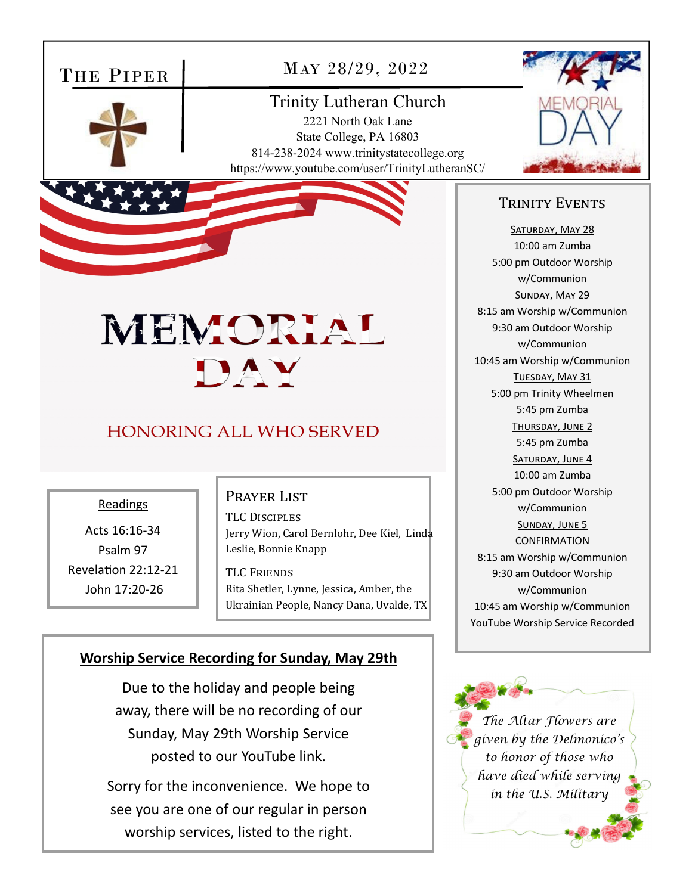# THE PIPER

MAY 28/29, 2022

# Trinity Lutheran Church 2221 North Oak Lane

 State College, PA 16803 814-238-2024 www.trinitystatecollege.org https://www.youtube.com/user/TrinityLutheranSC/



# TRINITY EVENTS

SATURDAY, MAY 28 10:00 am Zumba 5:00 pm Outdoor Worship w/Communion SUNDAY, MAY 29 8:15 am Worship w/Communion 9:30 am Outdoor Worship w/Communion 10:45 am Worship w/Communion TUESDAY, MAY 31 5:00 pm Trinity Wheelmen 5:45 pm Zumba THURSDAY, JUNE 2 5:45 pm Zumba SATURDAY, JUNE 4 10:00 am Zumba 5:00 pm Outdoor Worship w/Communion SUNDAY, JUNE 5 CONFIRMATION 8:15 am Worship w/Communion 9:30 am Outdoor Worship w/Communion 10:45 am Worship w/Communion YouTube Worship Service Recorded

*The Altar Flowers are given by the Delmonico's to honor of those who have died while serving in the U.S. Military* 

# MEMORIAL DAY

# **HONORING ALL WHO SERVED**

#### Readings

Acts 16:16‐34 Psalm 97 RevelaƟon 22:12‐21 John 17:20‐26

#### PRAYER LIST

TLC DISCIPLES

Jerry Wion, Carol Bernlohr, Dee Kiel, Linda Leslie, Bonnie Knapp

TLC FRIENDS

Rita Shetler, Lynne, Jessica, Amber, the Ukrainian People, Nancy Dana, Uvalde, TX

# **Worship Service Recording for Sunday, May 29th**

Due to the holiday and people being away, there will be no recording of our Sunday, May 29th Worship Service posted to our YouTube link.

Sorry for the inconvenience. We hope to see you are one of our regular in person worship services, listed to the right.